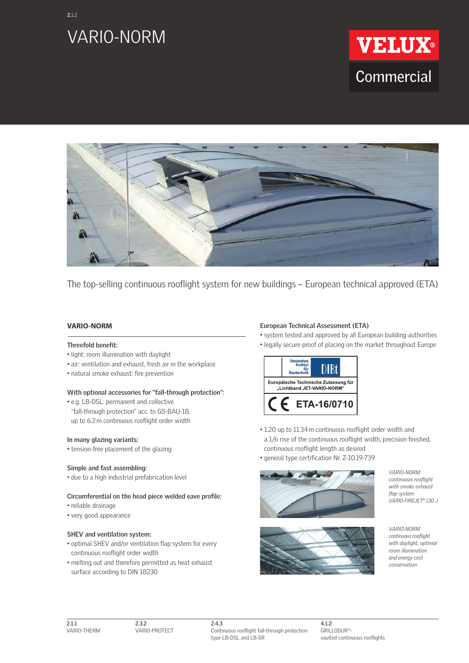

**2.**1.2





The top-selling continuous rooflight system for new buildings – European technical approved (ETA)

# **VARIO-NORM**

#### **Threefold benefit:**

- light: room illumination with daylight
- air: ventilation and exhaust, fresh air in the workplace
- natural smoke exhaust: fire prevention

#### **With optional accessories for "fall-through protection":**

• e.g. LB-DSL: permanent and collective "fall-through protection" acc. to GS-BAU-18, up to 6.2m continuous rooflight order width

### **In many glazing variants:**

• tension-free placement of the glazing

#### **Simple and fast assembling:**

• due to a high industrial prefabrication level

#### **Circumferential on the head piece welded eave profile:**

- reliable drainage
- very good appearance

### **SHEV and ventilation system:**

- optimal SHEV and/or ventilation flap system for every continuous rooflight order width
- melting out and therefore permitted as heat exhaust surface according to DIN 18230

#### **European Technical Assessment (ETA)**

- system tested and approved by all European building authorities
- legally secure proof of placing on the market throughout Europe



- 1.20 up to 11.34m continuous rooflight order width and a 1/6 rise of the continuous rooflight width, precision finished, continuous rooflight length as desired
- general type certification Nr. Z-10.19-739



*VARIO-NORM continuous rooflight with smoke exhaust flap system VARIO-FIREJET® 130 J*



*VARIO-NORM continuous rooflight with daylight, optimal room illumination and energy cost conservation*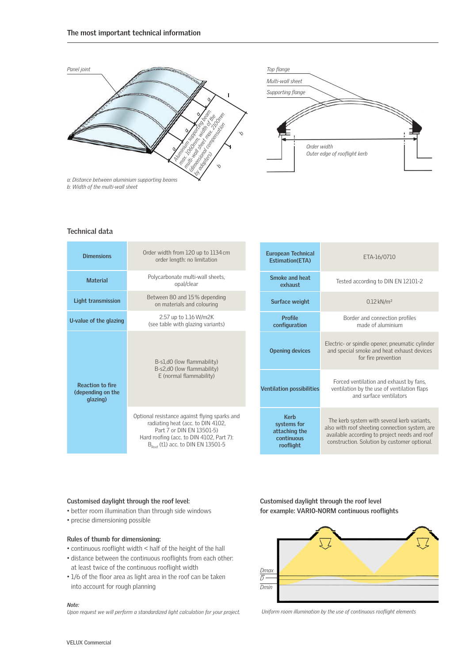

*b: Width of the multi-wall sheet*

### **Technical data**

| <b>Dimensions</b>                                        | Order width from 120 up to 1134 cm<br>order length: no limitation                                                                                                                                            | <b>European Technical</b><br>Estimation(ETA)                           | ETA-16/0710                                                                                                                                                                                    |
|----------------------------------------------------------|--------------------------------------------------------------------------------------------------------------------------------------------------------------------------------------------------------------|------------------------------------------------------------------------|------------------------------------------------------------------------------------------------------------------------------------------------------------------------------------------------|
| <b>Material</b>                                          | Polycarbonate multi-wall sheets,<br>opal/clear                                                                                                                                                               | Smoke and heat<br>exhaust                                              | Tested according to DIN EN 12101-2                                                                                                                                                             |
| Light transmission                                       | Between 80 and 15% depending<br>on materials and colouring                                                                                                                                                   | Surface weight                                                         | $0.12$ kN/m <sup>2</sup>                                                                                                                                                                       |
| U-value of the glazing                                   | 2.57 up to 1.16 W/m2K<br>(see table with glazing variants)                                                                                                                                                   | <b>Profile</b><br>configuration                                        | Border and connection profiles<br>made of aluminium                                                                                                                                            |
| <b>Reaction to fire</b><br>(depending on the<br>glazing) | B-s1,d0 (low flammability)<br>B-s2,d0 (low flammability)<br>E (normal flammability)                                                                                                                          | <b>Opening devices</b>                                                 | Electric- or spindle opener, pneumatic cylinder<br>and special smoke and heat exhaust devices<br>for fire prevention                                                                           |
|                                                          |                                                                                                                                                                                                              | <b>Ventilation possibilities</b>                                       | Forced ventilation and exhaust by fans,<br>ventilation by the use of ventilation flaps<br>and surface ventilators                                                                              |
|                                                          | Optional resistance against flying sparks and<br>radiating heat (acc. to DIN 4102,<br>Part 7 or DIN EN 13501-5)<br>Hard roofing (acc. to DIN 4102, Part 7):<br>$B_{\text{post}}$ (t1) acc. to DIN EN 13501-5 | <b>Kerb</b><br>systems for<br>attaching the<br>continuous<br>rooflight | The kerb system with several kerb variants,<br>also with roof sheeting connection system, are<br>available according to project needs and roof<br>construction. Solution by customer optional. |



- better room illumination than through side windows
- precise dimensioning possible

#### **Rules of thumb for dimensioning:**

- continuous rooflight width < half of the height of the hall
- distance between the continuous rooflights from each other: at least twice of the continuous rooflight width
- 1/6 of the floor area as light area in the roof can be taken into account for rough planning

#### *Note:*

*Upon request we will perform a standardized light calculation for your project.*

**Customised daylight through the roof level** for example: VARIO-NORM continuous rooflights



Uniform room illumination by the use of continuous rooflight elements

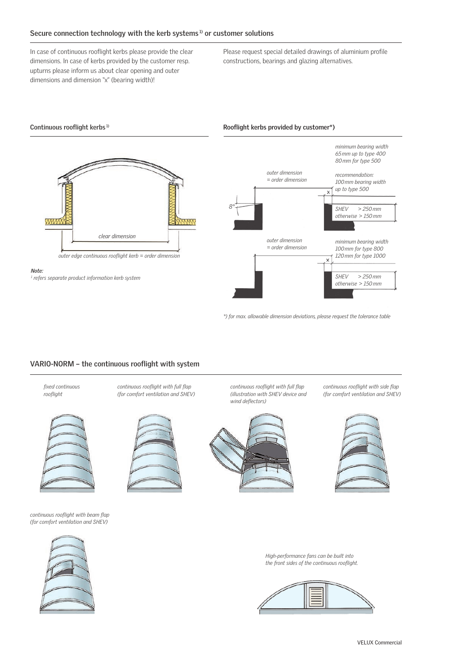# **Secure connection technology with the kerb systems 1) or customer solutions**

In case of continuous rooflight kerbs please provide the clear dimensions. In case of kerbs provided by the customer resp. upturns please inform us about clear opening and outer dimensions and dimension "x" (bearing width)!

Please request special detailed drawings of aluminium profile constructions, bearings and glazing alternatives.

#### *minimum bearing width 65 mm up to type 400 80 mm for type 500 outer dimension recommendation: = order dimension 100 mm bearing width up to type 500*  $\overline{\mathsf{x}}$ *8° SHEV > 250 mm otherwise > 150 mm* **YYY** XXXXX *clear dimension outer dimension minimum bearing width = order dimension 100 mm for type 800 outer edge continuous roofl ight kerb = order dimension 120 mm for type 1000*  $\times$ *Note: SHEV > 250 mm 1 refers separate product information kerb system otherwise > 150 mm*

**Continuous rooflight kerbs 1) Rooflight kerbs provided by customer\*) Rooflight kerbs provided by customer\***)

*\*) for max. allowable dimension deviations, please request the tolerance table* 

## VARIO-NORM - the continuous rooflight with system

*fi xed continuous roofl ight*



*continuous rooflight with beam flap (for comfort ventilation and SHEV)*



*continuous rooflight with full flap (for comfort ventilation and SHEV)*



*continuous rooflight with full flap (illustration with SHEV device and wind defl ectors)*



*continuous rooflight with side flap (for comfort ventilation and SHEV)*



*High-performance fans can be built into the front sides of the continuous roofl ight.*